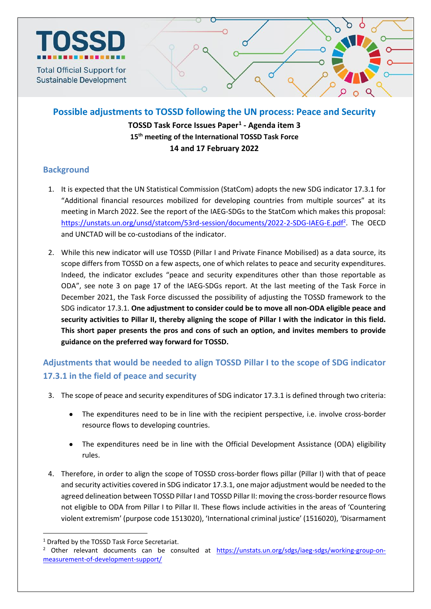

**Possible adjustments to TOSSD following the UN process: Peace and Security TOSSD Task Force Issues Paper<sup>1</sup> - Agenda item 3 15 th meeting of the International TOSSD Task Force 14 and 17 February 2022**

### **Background**

- 1. It is expected that the UN Statistical Commission (StatCom) adopts the new SDG indicator 17.3.1 for "Additional financial resources mobilized for developing countries from multiple sources" at its meeting in March 2022. See the report of the IAEG-SDGs to the StatCom which makes this proposal: <https://unstats.un.org/unsd/statcom/53rd-session/documents/2022-2-SDG-IAEG-E.pdf><sup>2</sup>. The OECD and UNCTAD will be co-custodians of the indicator.
- 2. While this new indicator will use TOSSD (Pillar I and Private Finance Mobilised) as a data source, its scope differs from TOSSD on a few aspects, one of which relates to peace and security expenditures. Indeed, the indicator excludes "peace and security expenditures other than those reportable as ODA", see note 3 on page 17 of the IAEG-SDGs report. At the last meeting of the Task Force in December 2021, the Task Force discussed the possibility of adjusting the TOSSD framework to the SDG indicator 17.3.1. **One adjustment to consider could be to move all non-ODA eligible peace and security activities to Pillar II, thereby aligning the scope of Pillar I with the indicator in this field. This short paper presents the pros and cons of such an option, and invites members to provide guidance on the preferred way forward for TOSSD.**

# **Adjustments that would be needed to align TOSSD Pillar I to the scope of SDG indicator 17.3.1 in the field of peace and security**

- 3. The scope of peace and security expenditures of SDG indicator 17.3.1 is defined through two criteria:
	- The expenditures need to be in line with the recipient perspective, i.e. involve cross-border resource flows to developing countries.
	- The expenditures need be in line with the Official Development Assistance (ODA) eligibility rules.
- 4. Therefore, in order to align the scope of TOSSD cross-border flows pillar (Pillar I) with that of peace and security activities covered in SDG indicator 17.3.1, one major adjustment would be needed to the agreed delineation between TOSSD Pillar I and TOSSD Pillar II: moving the cross-border resource flows not eligible to ODA from Pillar I to Pillar II. These flows include activities in the areas of 'Countering violent extremism' (purpose code 1513020), 'International criminal justice' (1516020), 'Disarmament

 $\overline{a}$ 

<sup>&</sup>lt;sup>1</sup> Drafted by the TOSSD Task Force Secretariat.

<sup>&</sup>lt;sup>2</sup> Other relevant documents can be consulted at [https://unstats.un.org/sdgs/iaeg-sdgs/working-group-on](https://unstats.un.org/sdgs/iaeg-sdgs/working-group-on-measurement-of-development-support/)[measurement-of-development-support/](https://unstats.un.org/sdgs/iaeg-sdgs/working-group-on-measurement-of-development-support/)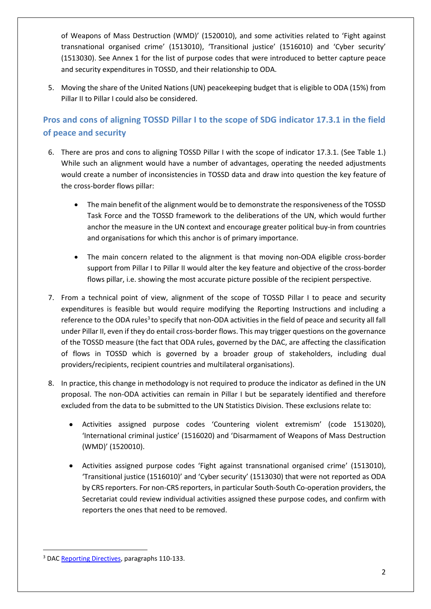of Weapons of Mass Destruction (WMD)' (1520010), and some activities related to 'Fight against transnational organised crime' (1513010), 'Transitional justice' (1516010) and 'Cyber security' (1513030). See Annex 1 for the list of purpose codes that were introduced to better capture peace and security expenditures in TOSSD, and their relationship to ODA.

5. Moving the share of the United Nations (UN) peacekeeping budget that is eligible to ODA (15%) from Pillar II to Pillar I could also be considered.

### **Pros and cons of aligning TOSSD Pillar I to the scope of SDG indicator 17.3.1 in the field of peace and security**

- 6. There are pros and cons to aligning TOSSD Pillar I with the scope of indicator 17.3.1. (See Table 1.) While such an alignment would have a number of advantages, operating the needed adjustments would create a number of inconsistencies in TOSSD data and draw into question the key feature of the cross-border flows pillar:
	- The main benefit of the alignment would be to demonstrate the responsiveness of the TOSSD Task Force and the TOSSD framework to the deliberations of the UN, which would further anchor the measure in the UN context and encourage greater political buy-in from countries and organisations for which this anchor is of primary importance.
	- The main concern related to the alignment is that moving non-ODA eligible cross-border support from Pillar I to Pillar II would alter the key feature and objective of the cross-border flows pillar, i.e. showing the most accurate picture possible of the recipient perspective.
- 7. From a technical point of view, alignment of the scope of TOSSD Pillar I to peace and security expenditures is feasible but would require modifying the Reporting Instructions and including a reference to the ODA rules<sup>3</sup> to specify that non-ODA activities in the field of peace and security all fall under Pillar II, even if they do entail cross-border flows. This may trigger questions on the governance of the TOSSD measure (the fact that ODA rules, governed by the DAC, are affecting the classification of flows in TOSSD which is governed by a broader group of stakeholders, including dual providers/recipients, recipient countries and multilateral organisations).
- 8. In practice, this change in methodology is not required to produce the indicator as defined in the UN proposal. The non-ODA activities can remain in Pillar I but be separately identified and therefore excluded from the data to be submitted to the UN Statistics Division. These exclusions relate to:
	- Activities assigned purpose codes 'Countering violent extremism' (code 1513020), 'International criminal justice' (1516020) and 'Disarmament of Weapons of Mass Destruction (WMD)' (1520010).
	- Activities assigned purpose codes 'Fight against transnational organised crime' (1513010), 'Transitional justice (1516010)' and 'Cyber security' (1513030) that were not reported as ODA by CRS reporters. For non-CRS reporters, in particular South-South Co-operation providers, the Secretariat could review individual activities assigned these purpose codes, and confirm with reporters the ones that need to be removed.

 $\overline{a}$ <sup>3</sup> DA[C Reporting Directives,](https://one.oecd.org/document/DCD/DAC/STAT(2020)44/FINAL/en/pdf) paragraphs 110-133.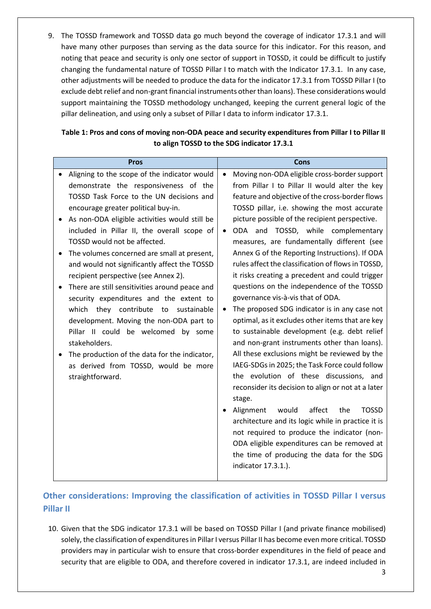9. The TOSSD framework and TOSSD data go much beyond the coverage of indicator 17.3.1 and will have many other purposes than serving as the data source for this indicator. For this reason, and noting that peace and security is only one sector of support in TOSSD, it could be difficult to justify changing the fundamental nature of TOSSD Pillar I to match with the Indicator 17.3.1. In any case, other adjustments will be needed to produce the data for the indicator 17.3.1 from TOSSD Pillar I (to exclude debt relief and non-grant financial instruments other than loans). These considerations would support maintaining the TOSSD methodology unchanged, keeping the current general logic of the pillar delineation, and using only a subset of Pillar I data to inform indicator 17.3.1.

| <b>Pros</b>                                                                                                                                                                                                                                                                                                                                                                                                                                                                                                                                                                                                                                                                                                                                                                                                | Cons                                                                                                                                                                                                                                                                                                                                                                                                                                                                                                                                                                                                                                                                                                                                                                                                                                                                                                                                                                                                                                                                                                                                                                                                                                                                                                                            |
|------------------------------------------------------------------------------------------------------------------------------------------------------------------------------------------------------------------------------------------------------------------------------------------------------------------------------------------------------------------------------------------------------------------------------------------------------------------------------------------------------------------------------------------------------------------------------------------------------------------------------------------------------------------------------------------------------------------------------------------------------------------------------------------------------------|---------------------------------------------------------------------------------------------------------------------------------------------------------------------------------------------------------------------------------------------------------------------------------------------------------------------------------------------------------------------------------------------------------------------------------------------------------------------------------------------------------------------------------------------------------------------------------------------------------------------------------------------------------------------------------------------------------------------------------------------------------------------------------------------------------------------------------------------------------------------------------------------------------------------------------------------------------------------------------------------------------------------------------------------------------------------------------------------------------------------------------------------------------------------------------------------------------------------------------------------------------------------------------------------------------------------------------|
| Aligning to the scope of the indicator would<br>demonstrate the responsiveness of the<br>TOSSD Task Force to the UN decisions and<br>encourage greater political buy-in.<br>As non-ODA eligible activities would still be<br>included in Pillar II, the overall scope of<br>TOSSD would not be affected.<br>The volumes concerned are small at present,<br>and would not significantly affect the TOSSD<br>recipient perspective (see Annex 2).<br>There are still sensitivities around peace and<br>security expenditures and the extent to<br>they contribute<br>which<br>to sustainable<br>development. Moving the non-ODA part to<br>Pillar II could be welcomed by some<br>stakeholders.<br>The production of the data for the indicator,<br>as derived from TOSSD, would be more<br>straightforward. | Moving non-ODA eligible cross-border support<br>$\bullet$<br>from Pillar I to Pillar II would alter the key<br>feature and objective of the cross-border flows<br>TOSSD pillar, i.e. showing the most accurate<br>picture possible of the recipient perspective.<br>ODA and TOSSD, while complementary<br>$\bullet$<br>measures, are fundamentally different (see<br>Annex G of the Reporting Instructions). If ODA<br>rules affect the classification of flows in TOSSD,<br>it risks creating a precedent and could trigger<br>questions on the independence of the TOSSD<br>governance vis-à-vis that of ODA.<br>The proposed SDG indicator is in any case not<br>$\bullet$<br>optimal, as it excludes other items that are key<br>to sustainable development (e.g. debt relief<br>and non-grant instruments other than loans).<br>All these exclusions might be reviewed by the<br>IAEG-SDGs in 2025; the Task Force could follow<br>the evolution of these discussions, and<br>reconsider its decision to align or not at a later<br>stage.<br>affect<br>the<br><b>TOSSD</b><br>Alignment<br>would<br>architecture and its logic while in practice it is<br>not required to produce the indicator (non-<br>ODA eligible expenditures can be removed at<br>the time of producing the data for the SDG<br>indicator 17.3.1.). |

### **Table 1: Pros and cons of moving non-ODA peace and security expenditures from Pillar I to Pillar II to align TOSSD to the SDG indicator 17.3.1**

## **Other considerations: Improving the classification of activities in TOSSD Pillar I versus Pillar II**

10. Given that the SDG indicator 17.3.1 will be based on TOSSD Pillar I (and private finance mobilised) solely, the classification of expenditures in Pillar I versus Pillar II has become even more critical. TOSSD providers may in particular wish to ensure that cross-border expenditures in the field of peace and security that are eligible to ODA, and therefore covered in indicator 17.3.1, are indeed included in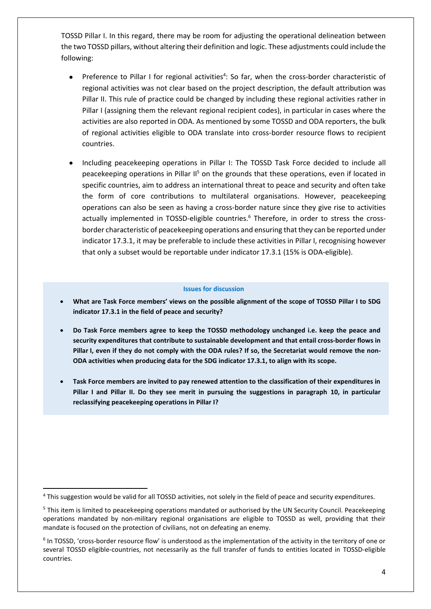TOSSD Pillar I. In this regard, there may be room for adjusting the operational delineation between the two TOSSD pillars, without altering their definition and logic. These adjustments could include the following:

- Preference to Pillar I for regional activities<sup>4</sup>: So far, when the cross-border characteristic of regional activities was not clear based on the project description, the default attribution was Pillar II. This rule of practice could be changed by including these regional activities rather in Pillar I (assigning them the relevant regional recipient codes), in particular in cases where the activities are also reported in ODA. As mentioned by some TOSSD and ODA reporters, the bulk of regional activities eligible to ODA translate into cross-border resource flows to recipient countries.
- Including peacekeeping operations in Pillar I: The TOSSD Task Force decided to include all peacekeeping operations in Pillar  $II<sup>5</sup>$  on the grounds that these operations, even if located in specific countries, aim to address an international threat to peace and security and often take the form of core contributions to multilateral organisations. However, peacekeeping operations can also be seen as having a cross-border nature since they give rise to activities actually implemented in TOSSD-eligible countries. <sup>6</sup> Therefore, in order to stress the crossborder characteristic of peacekeeping operations and ensuring that they can be reported under indicator 17.3.1, it may be preferable to include these activities in Pillar I, recognising however that only a subset would be reportable under indicator 17.3.1 (15% is ODA-eligible).

#### **Issues for discussion**

- **What are Task Force members' views on the possible alignment of the scope of TOSSD Pillar I to SDG indicator 17.3.1 in the field of peace and security?**
- **Do Task Force members agree to keep the TOSSD methodology unchanged i.e. keep the peace and security expenditures that contribute to sustainable development and that entail cross-border flows in Pillar I, even if they do not comply with the ODA rules? If so, the Secretariat would remove the non-ODA activities when producing data for the SDG indicator 17.3.1, to align with its scope.**
- **Task Force members are invited to pay renewed attention to the classification of their expenditures in Pillar I and Pillar II. Do they see merit in pursuing the suggestions in paragraph 10, in particular reclassifying peacekeeping operations in Pillar I?**

1

<sup>&</sup>lt;sup>4</sup> This suggestion would be valid for all TOSSD activities, not solely in the field of peace and security expenditures.

<sup>&</sup>lt;sup>5</sup> This item is limited to peacekeeping operations mandated or authorised by the UN Security Council. Peacekeeping operations mandated by non-military regional organisations are eligible to TOSSD as well, providing that their mandate is focused on the protection of civilians, not on defeating an enemy.

<sup>&</sup>lt;sup>6</sup> In TOSSD, 'cross-border resource flow' is understood as the implementation of the activity in the territory of one or several TOSSD eligible-countries, not necessarily as the full transfer of funds to entities located in TOSSD-eligible countries.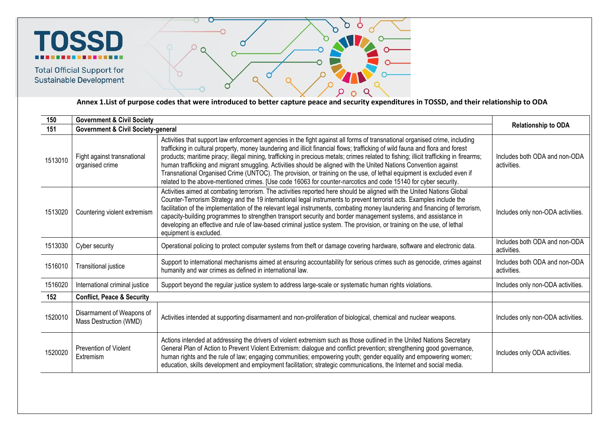

**Total Official Support for** Sustainable Development



**Annex 1.List of purpose codes that were introduced to better capture peace and security expenditures in TOSSD, and their relationship to ODA**

| 150     | <b>Government &amp; Civil Society</b>                                                                                                                                                                                                                                                                                                                                                                                                                                                                                                                                                                                                                                                  |                                                                                                                                                                                                                                                                                                                                                                                                                                                                                                                                                                                                                                                                                                                                                                         |                                              |  |
|---------|----------------------------------------------------------------------------------------------------------------------------------------------------------------------------------------------------------------------------------------------------------------------------------------------------------------------------------------------------------------------------------------------------------------------------------------------------------------------------------------------------------------------------------------------------------------------------------------------------------------------------------------------------------------------------------------|-------------------------------------------------------------------------------------------------------------------------------------------------------------------------------------------------------------------------------------------------------------------------------------------------------------------------------------------------------------------------------------------------------------------------------------------------------------------------------------------------------------------------------------------------------------------------------------------------------------------------------------------------------------------------------------------------------------------------------------------------------------------------|----------------------------------------------|--|
| 151     | <b>Government &amp; Civil Society-general</b>                                                                                                                                                                                                                                                                                                                                                                                                                                                                                                                                                                                                                                          | <b>Relationship to ODA</b>                                                                                                                                                                                                                                                                                                                                                                                                                                                                                                                                                                                                                                                                                                                                              |                                              |  |
| 1513010 | Fight against transnational<br>organised crime                                                                                                                                                                                                                                                                                                                                                                                                                                                                                                                                                                                                                                         | Activities that support law enforcement agencies in the fight against all forms of transnational organised crime, including<br>trafficking in cultural property, money laundering and illicit financial flows; trafficking of wild fauna and flora and forest<br>products; maritime piracy; illegal mining, trafficking in precious metals; crimes related to fishing; illicit trafficking in firearms;<br>human trafficking and migrant smuggling. Activities should be aligned with the United Nations Convention against<br>Transnational Organised Crime (UNTOC). The provision, or training on the use, of lethal equipment is excluded even if<br>related to the above-mentioned crimes. [Use code 16063 for counter-narcotics and code 15140 for cyber security. | Includes both ODA and non-ODA<br>activities. |  |
| 1513020 | Activities aimed at combating terrorism. The activities reported here should be aligned with the United Nations Global<br>Counter-Terrorism Strategy and the 19 international legal instruments to prevent terrorist acts. Examples include the<br>facilitation of the implementation of the relevant legal instruments, combating money laundering and financing of terrorism,<br>Countering violent extremism<br>capacity-building programmes to strengthen transport security and border management systems, and assistance in<br>developing an effective and rule of law-based criminal justice system. The provision, or training on the use, of lethal<br>equipment is excluded. |                                                                                                                                                                                                                                                                                                                                                                                                                                                                                                                                                                                                                                                                                                                                                                         | Includes only non-ODA activities.            |  |
| 1513030 | Cyber security                                                                                                                                                                                                                                                                                                                                                                                                                                                                                                                                                                                                                                                                         | Operational policing to protect computer systems from theft or damage covering hardware, software and electronic data.                                                                                                                                                                                                                                                                                                                                                                                                                                                                                                                                                                                                                                                  | Includes both ODA and non-ODA<br>activities. |  |
| 1516010 | <b>Transitional justice</b>                                                                                                                                                                                                                                                                                                                                                                                                                                                                                                                                                                                                                                                            | Support to international mechanisms aimed at ensuring accountability for serious crimes such as genocide, crimes against<br>humanity and war crimes as defined in international law.                                                                                                                                                                                                                                                                                                                                                                                                                                                                                                                                                                                    |                                              |  |
| 1516020 | International criminal justice                                                                                                                                                                                                                                                                                                                                                                                                                                                                                                                                                                                                                                                         | Support beyond the regular justice system to address large-scale or systematic human rights violations.                                                                                                                                                                                                                                                                                                                                                                                                                                                                                                                                                                                                                                                                 | Includes only non-ODA activities.            |  |
| 152     | <b>Conflict, Peace &amp; Security</b>                                                                                                                                                                                                                                                                                                                                                                                                                                                                                                                                                                                                                                                  |                                                                                                                                                                                                                                                                                                                                                                                                                                                                                                                                                                                                                                                                                                                                                                         |                                              |  |
| 1520010 | Disarmament of Weapons of<br>Mass Destruction (WMD)                                                                                                                                                                                                                                                                                                                                                                                                                                                                                                                                                                                                                                    | Activities intended at supporting disarmament and non-proliferation of biological, chemical and nuclear weapons.                                                                                                                                                                                                                                                                                                                                                                                                                                                                                                                                                                                                                                                        | Includes only non-ODA activities.            |  |
| 1520020 | Prevention of Violent<br><b>Extremism</b>                                                                                                                                                                                                                                                                                                                                                                                                                                                                                                                                                                                                                                              | Actions intended at addressing the drivers of violent extremism such as those outlined in the United Nations Secretary<br>General Plan of Action to Prevent Violent Extremism: dialogue and conflict prevention; strengthening good governance,<br>human rights and the rule of law; engaging communities; empowering youth; gender equality and empowering women;<br>education, skills development and employment facilitation; strategic communications, the Internet and social media.                                                                                                                                                                                                                                                                               | Includes only ODA activities.                |  |
|         |                                                                                                                                                                                                                                                                                                                                                                                                                                                                                                                                                                                                                                                                                        |                                                                                                                                                                                                                                                                                                                                                                                                                                                                                                                                                                                                                                                                                                                                                                         |                                              |  |